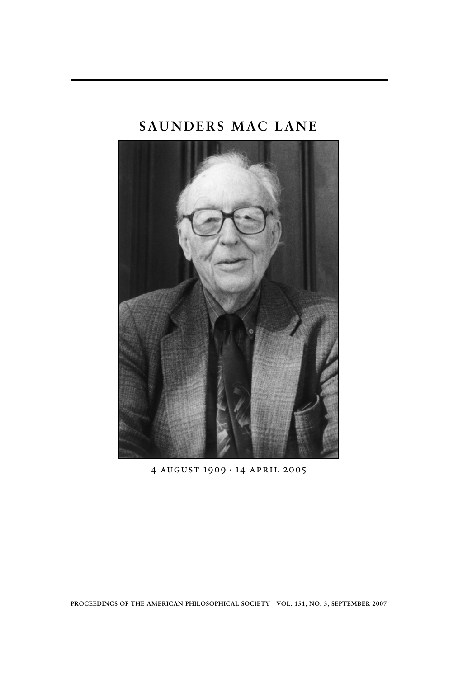## **SAUNDERS MAC LANE**



4 august 1909 . 14 april 2005

**PROCEEDINGS OF THE AMERICAN PHILOSOPHICAL SOCIETY VOL. 151, NO. 3, SEPTEMBER 2007**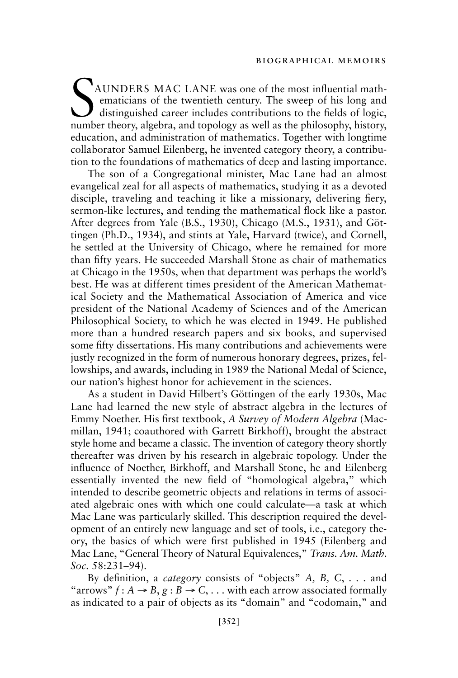AUNDERS MAC LANE was one of the most influential mathematicians of the twentieth century. The sweep of his long and number theory, algebra, and topology as well as the philosophy, history, education, and administration of mathematics. Together with longtime collaborator Samuel Eilenberg, he invented category theory, a contribution to the foundations of mathematics of deep and lasting importance. S AUNDERS MAC LANE was one of the most influential mathematicians of the twentieth century. The sweep of his long and distinguished career includes contributions to the fields of logic, number theory, algebra, and topology

The son of a Congregational minister, Mac Lane had an almost evangelical zeal for all aspects of mathematics, studying it as a devoted disciple, traveling and teaching it like a missionary, delivering fiery, sermon-like lectures, and tending the mathematical flock like a pastor. After degrees from Yale (B.S., 1930), Chicago (M.S., 1931), and Göttingen (Ph.D., 1934), and stints at Yale, Harvard (twice), and Cornell, he settled at the University of Chicago, where he remained for more than fifty years. He succeeded Marshall Stone as chair of mathematics at Chicago in the 1950s, when that department was perhaps the world's best. He was at different times president of the American Mathematical Society and the Mathematical Association of America and vice president of the National Academy of Sciences and of the American Philosophical Society, to which he was elected in 1949. He published more than a hundred research papers and six books, and supervised some fifty dissertations. His many contributions and achievements were justly recognized in the form of numerous honorary degrees, prizes, fellowships, and awards, including in 1989 the National Medal of Science, our nation's highest honor for achievement in the sciences.

As a student in David Hilbert's Göttingen of the early 1930s, Mac Lane had learned the new style of abstract algebra in the lectures of Emmy Noether. His first textbook, *A Survey of Modern Algebra* (Macmillan, 1941; coauthored with Garrett Birkhoff), brought the abstract style home and became a classic. The invention of category theory shortly thereafter was driven by his research in algebraic topology. Under the influence of Noether, Birkhoff, and Marshall Stone, he and Eilenberg essentially invented the new field of "homological algebra," which intended to describe geometric objects and relations in terms of associated algebraic ones with which one could calculate—a task at which Mac Lane was particularly skilled. This description required the development of an entirely new language and set of tools, i.e., category theory, the basics of which were first published in 1945 (Eilenberg and Mac Lane, "General Theory of Natural Equivalences," *Trans. Am. Math. Soc.* 58:231–94).

By definition, a *category* consists of "objects" *A, B, C*, . . . and "arrows"  $f: A \rightarrow B$ ,  $g: B \rightarrow C$ , ... with each arrow associated formally as indicated to a pair of objects as its "domain" and "codomain," and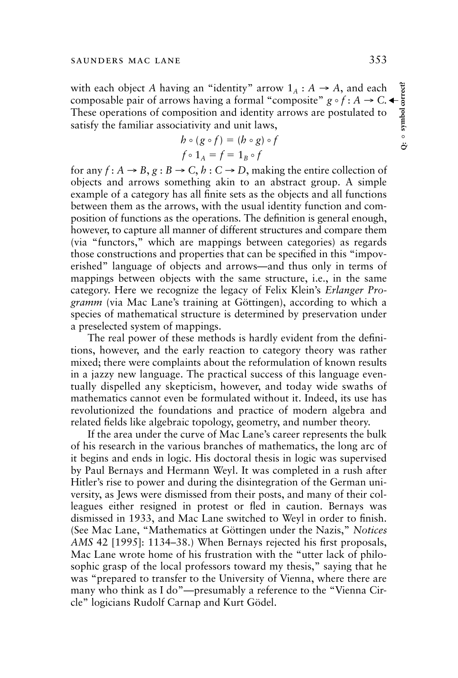with each object *A* having an "identity" arrow  $1_A : A \rightarrow A$ , and each composable pair of arrows having a formal "composite"  $g \circ f : A \to C$ . These operations of composition and identity arrows are postulated to satisfy the familiar associativity and unit laws, **Q:** ! **symbol correct?**

$$
h \circ (g \circ f) = (h \circ g) \circ f
$$
  
\n
$$
f \circ 1_A = f = 1_B \circ f
$$

for any  $f: A \rightarrow B$ ,  $g: B \rightarrow C$ ,  $h: C \rightarrow D$ , making the entire collection of objects and arrows something akin to an abstract group. A simple example of a category has all finite sets as the objects and all functions between them as the arrows, with the usual identity function and composition of functions as the operations. The definition is general enough, however, to capture all manner of different structures and compare them (via "functors," which are mappings between categories) as regards those constructions and properties that can be specified in this "impoverished" language of objects and arrows—and thus only in terms of mappings between objects with the same structure, i.e., in the same category. Here we recognize the legacy of Felix Klein's *Erlanger Programm* (via Mac Lane's training at Göttingen), according to which a species of mathematical structure is determined by preservation under a preselected system of mappings.

The real power of these methods is hardly evident from the definitions, however, and the early reaction to category theory was rather mixed; there were complaints about the reformulation of known results in a jazzy new language. The practical success of this language eventually dispelled any skepticism, however, and today wide swaths of mathematics cannot even be formulated without it. Indeed, its use has revolutionized the foundations and practice of modern algebra and related fields like algebraic topology, geometry, and number theory.

If the area under the curve of Mac Lane's career represents the bulk of his research in the various branches of mathematics, the long arc of it begins and ends in logic. His doctoral thesis in logic was supervised by Paul Bernays and Hermann Weyl. It was completed in a rush after Hitler's rise to power and during the disintegration of the German university, as Jews were dismissed from their posts, and many of their colleagues either resigned in protest or fled in caution. Bernays was dismissed in 1933, and Mac Lane switched to Weyl in order to finish. (See Mac Lane, "Mathematics at Göttingen under the Nazis," *Notices AMS* 42 [1995]: 1134–38.) When Bernays rejected his first proposals, Mac Lane wrote home of his frustration with the "utter lack of philosophic grasp of the local professors toward my thesis," saying that he was "prepared to transfer to the University of Vienna, where there are many who think as I do"—presumably a reference to the "Vienna Circle" logicians Rudolf Carnap and Kurt Gödel.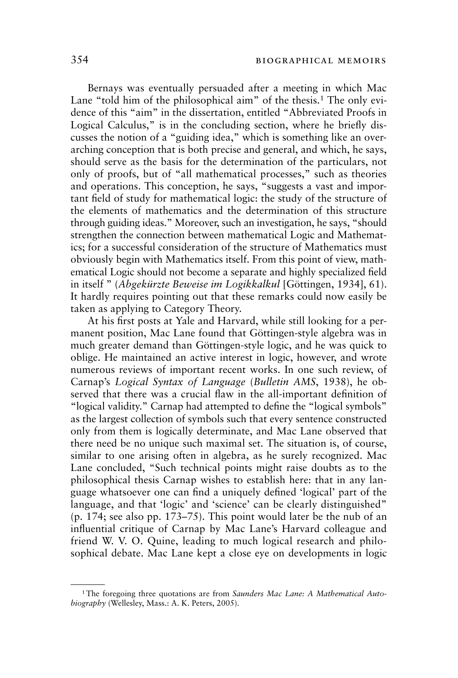Bernays was eventually persuaded after a meeting in which Mac Lane "told him of the philosophical aim" of the thesis.<sup>1</sup> The only evidence of this "aim" in the dissertation, entitled "Abbreviated Proofs in Logical Calculus," is in the concluding section, where he briefly discusses the notion of a "guiding idea," which is something like an overarching conception that is both precise and general, and which, he says, should serve as the basis for the determination of the particulars, not only of proofs, but of "all mathematical processes," such as theories and operations. This conception, he says, "suggests a vast and important field of study for mathematical logic: the study of the structure of the elements of mathematics and the determination of this structure through guiding ideas." Moreover, such an investigation, he says, "should strengthen the connection between mathematical Logic and Mathematics; for a successful consideration of the structure of Mathematics must obviously begin with Mathematics itself. From this point of view, mathematical Logic should not become a separate and highly specialized field in itself " (*Abgekürzte Beweise im Logikkalkul* [Göttingen, 1934], 61). It hardly requires pointing out that these remarks could now easily be taken as applying to Category Theory.

At his first posts at Yale and Harvard, while still looking for a permanent position, Mac Lane found that Göttingen-style algebra was in much greater demand than Göttingen-style logic, and he was quick to oblige. He maintained an active interest in logic, however, and wrote numerous reviews of important recent works. In one such review, of Carnap's *Logical Syntax of Language* (*Bulletin AMS*, 1938), he observed that there was a crucial flaw in the all-important definition of "logical validity." Carnap had attempted to define the "logical symbols" as the largest collection of symbols such that every sentence constructed only from them is logically determinate, and Mac Lane observed that there need be no unique such maximal set. The situation is, of course, similar to one arising often in algebra, as he surely recognized. Mac Lane concluded, "Such technical points might raise doubts as to the philosophical thesis Carnap wishes to establish here: that in any language whatsoever one can find a uniquely defined 'logical' part of the language, and that 'logic' and 'science' can be clearly distinguished" (p. 174; see also pp. 173–75). This point would later be the nub of an influential critique of Carnap by Mac Lane's Harvard colleague and friend W. V. O. Quine, leading to much logical research and philosophical debate. Mac Lane kept a close eye on developments in logic

<sup>1</sup> The foregoing three quotations are from *Saunders Mac Lane: A Mathematical Autobiography* (Wellesley, Mass.: A. K. Peters, 2005).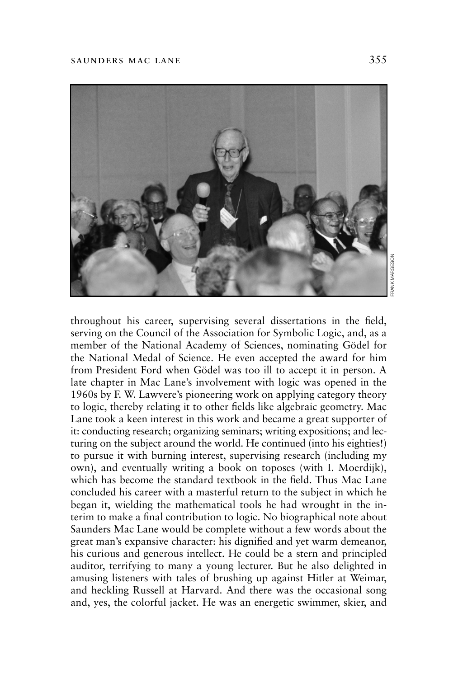

throughout his career, supervising several dissertations in the field, serving on the Council of the Association for Symbolic Logic, and, as a member of the National Academy of Sciences, nominating Gödel for the National Medal of Science. He even accepted the award for him from President Ford when Gödel was too ill to accept it in person. A late chapter in Mac Lane's involvement with logic was opened in the 1960s by F. W. Lawvere's pioneering work on applying category theory to logic, thereby relating it to other fields like algebraic geometry. Mac Lane took a keen interest in this work and became a great supporter of it: conducting research; organizing seminars; writing expositions; and lecturing on the subject around the world. He continued (into his eighties!) to pursue it with burning interest, supervising research (including my own), and eventually writing a book on toposes (with I. Moerdijk), which has become the standard textbook in the field. Thus Mac Lane concluded his career with a masterful return to the subject in which he began it, wielding the mathematical tools he had wrought in the interim to make a final contribution to logic. No biographical note about Saunders Mac Lane would be complete without a few words about the great man's expansive character: his dignified and yet warm demeanor, his curious and generous intellect. He could be a stern and principled auditor, terrifying to many a young lecturer. But he also delighted in amusing listeners with tales of brushing up against Hitler at Weimar, and heckling Russell at Harvard. And there was the occasional song and, yes, the colorful jacket. He was an energetic swimmer, skier, and